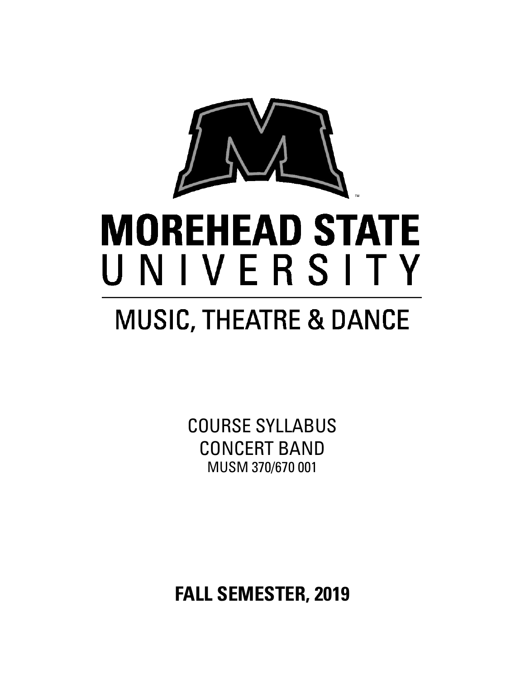

# **MOREHEAD STATE** UNIVERSITY

## **MUSIC, THEATRE & DANCE**

COURSE SYLLABUS CONCERT BAND MUSM 370/670 001

**FALL SEMESTER, 2019**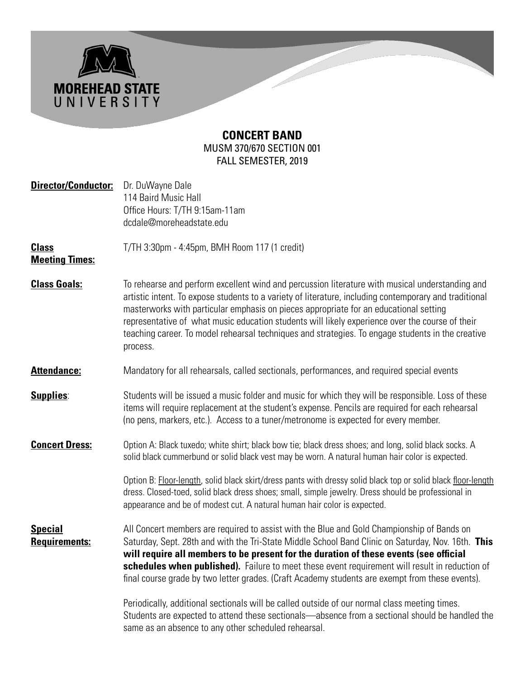

### **CONCERT BAND** MUSM 370/670 SECTION 001 FALL SEMESTER, 2019

| <b>Director/Conductor:</b>             | Dr. DuWayne Dale<br>114 Baird Music Hall<br>Office Hours: T/TH 9:15am-11am<br>dcdale@moreheadstate.edu                                                                                                                                                                                                                                                                                                                                                                                                                 |  |  |
|----------------------------------------|------------------------------------------------------------------------------------------------------------------------------------------------------------------------------------------------------------------------------------------------------------------------------------------------------------------------------------------------------------------------------------------------------------------------------------------------------------------------------------------------------------------------|--|--|
| <b>Class</b><br><b>Meeting Times:</b>  | T/TH 3:30pm - 4:45pm, BMH Room 117 (1 credit)                                                                                                                                                                                                                                                                                                                                                                                                                                                                          |  |  |
| <b>Class Goals:</b>                    | To rehearse and perform excellent wind and percussion literature with musical understanding and<br>artistic intent. To expose students to a variety of literature, including contemporary and traditional<br>masterworks with particular emphasis on pieces appropriate for an educational setting<br>representative of what music education students will likely experience over the course of their<br>teaching career. To model rehearsal techniques and strategies. To engage students in the creative<br>process. |  |  |
| <b>Attendance:</b>                     | Mandatory for all rehearsals, called sectionals, performances, and required special events                                                                                                                                                                                                                                                                                                                                                                                                                             |  |  |
| <b>Supplies:</b>                       | Students will be issued a music folder and music for which they will be responsible. Loss of these<br>items will require replacement at the student's expense. Pencils are required for each rehearsal<br>(no pens, markers, etc.). Access to a tuner/metronome is expected for every member.                                                                                                                                                                                                                          |  |  |
| <b>Concert Dress:</b>                  | Option A: Black tuxedo; white shirt; black bow tie; black dress shoes; and long, solid black socks. A<br>solid black cummerbund or solid black vest may be worn. A natural human hair color is expected.                                                                                                                                                                                                                                                                                                               |  |  |
|                                        | Option B: Floor-length, solid black skirt/dress pants with dressy solid black top or solid black floor-length<br>dress. Closed-toed, solid black dress shoes; small, simple jewelry. Dress should be professional in<br>appearance and be of modest cut. A natural human hair color is expected.                                                                                                                                                                                                                       |  |  |
| <b>Special</b><br><b>Requirements:</b> | All Concert members are required to assist with the Blue and Gold Championship of Bands on<br>Saturday, Sept. 28th and with the Tri-State Middle School Band Clinic on Saturday, Nov. 16th. This<br>will require all members to be present for the duration of these events (see official<br>schedules when published). Failure to meet these event requirement will result in reduction of<br>final course grade by two letter grades. (Craft Academy students are exempt from these events).                         |  |  |
|                                        | Periodically, additional sectionals will be called outside of our normal class meeting times.<br>Students are expected to attend these sectionals—absence from a sectional should be handled the<br>same as an absence to any other scheduled rehearsal.                                                                                                                                                                                                                                                               |  |  |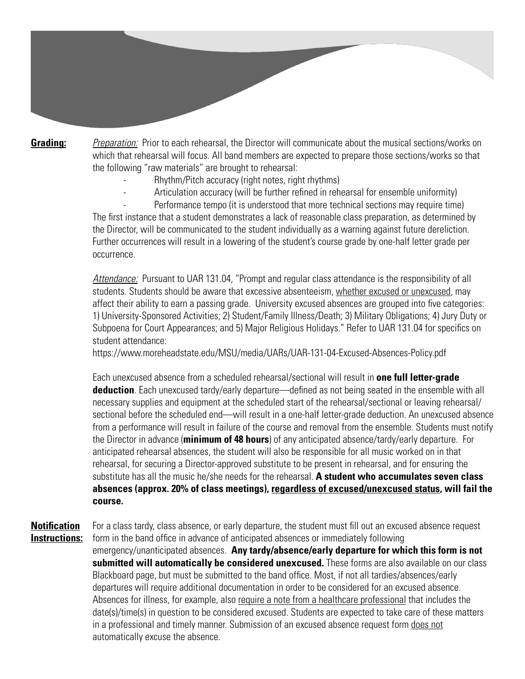**Grading:** *Preparation:* Prior to each rehearsal, the Director will communicate about the musical sections/works on which that rehearsal will focus. All band members are expected to prepare those sections/works so that the following "raw materials" are brought to rehearsal:

- Rhythm/Pitch accuracy (right notes, right rhythms)
- Articulation accuracy (will be further refined in rehearsal for ensemble uniformity)
- Performance tempo (it is understood that more technical sections may require time)

 The first instance that a student demonstrates a lack of reasonable class preparation, as determined by the Director, will be communicated to the student individually as a warning against future dereliction. Further occurrences will result in a lowering of the student's course grade by one-half letter grade per occurrence.

 *Attendance:* Pursuant to UAR 131.04, "Prompt and regular class attendance is the responsibility of all students. Students should be aware that excessive absenteeism, whether excused or unexcused, may affect their ability to earn a passing grade. University excused absences are grouped into five categories: 1) University-Sponsored Activities; 2) Student/Family Illness/Death; 3) Military Obligations; 4) Jury Duty or Subpoena for Court Appearances; and 5) Major Religious Holidays." Refer to UAR 131.04 for specifics on student attendance:

https://www.moreheadstate.edu/MSU/media/UARs/UAR-131-04-Excused-Absences-Policy.pdf

 Each unexcused absence from a scheduled rehearsal/sectional will result in **one full letter-grade deduction**. Each unexcused tardy/early departure—defined as not being seated in the ensemble with all necessary supplies and equipment at the scheduled start of the rehearsal/sectional or leaving rehearsal/ sectional before the scheduled end—will result in a one-half letter-grade deduction. An unexcused absence from a performance will result in failure of the course and removal from the ensemble. Students must notify the Director in advance (**minimum of 48 hours**) of any anticipated absence/tardy/early departure. For anticipated rehearsal absences, the student will also be responsible for all music worked on in that rehearsal, for securing a Director-approved substitute to be present in rehearsal, and for ensuring the substitute has all the music he/she needs for the rehearsal. **A student who accumulates seven class absences (approx. 20% of class meetings), regardless of excused/unexcused status, will fail the course.**

**Notification** For a class tardy, class absence, or early departure, the student must fill out an excused absence request **Instructions:** form in the band office in advance of anticipated absences or immediately following

> emergency/unanticipated absences. **Any tardy/absence/early departure for which this form is not submitted will automatically be considered unexcused.** These forms are also available on our class Blackboard page, but must be submitted to the band office. Most, if not all tardies/absences/early departures will require additional documentation in order to be considered for an excused absence. Absences for illness, for example, also require a note from a healthcare professional that includes the date(s)/time(s) in question to be considered excused. Students are expected to take care of these matters in a professional and timely manner. Submission of an excused absence request form does not automatically excuse the absence.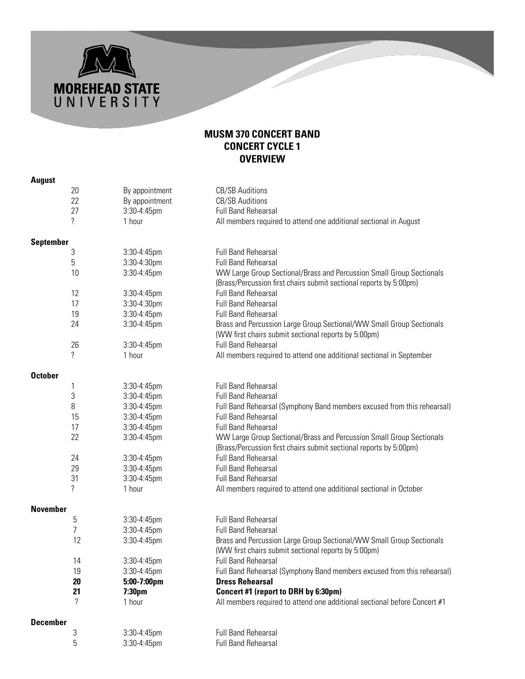

|  |  | -<br>۰, |
|--|--|---------|

**MOREHEAD STATE**<br>U N I V E R S I T Y

|                  | 20 | By appointment | <b>CB/SB Auditions</b>                                                                                                                     |
|------------------|----|----------------|--------------------------------------------------------------------------------------------------------------------------------------------|
|                  | 22 | By appointment | <b>CB/SB Auditions</b>                                                                                                                     |
|                  | 27 | 3:30-4:45pm    | <b>Full Band Rehearsal</b>                                                                                                                 |
|                  | ?  | 1 hour         | All members required to attend one additional sectional in August                                                                          |
| <b>September</b> |    |                |                                                                                                                                            |
|                  | 3  | 3:30-4:45pm    | <b>Full Band Rehearsal</b>                                                                                                                 |
|                  | 5  | 3:30-4:30pm    | <b>Full Band Rehearsal</b>                                                                                                                 |
|                  | 10 | 3:30-4:45pm    | WW Large Group Sectional/Brass and Percussion Small Group Sectionals<br>(Brass/Percussion first chairs submit sectional reports by 5:00pm) |
|                  | 12 | 3:30-4:45pm    | <b>Full Band Rehearsal</b>                                                                                                                 |
|                  | 17 | 3:30-4:30pm    | <b>Full Band Rehearsal</b>                                                                                                                 |
|                  | 19 | 3:30-4:45pm    | <b>Full Band Rehearsal</b>                                                                                                                 |
|                  | 24 | 3:30-4:45pm    | Brass and Percussion Large Group Sectional/WW Small Group Sectionals<br>(WW first chairs submit sectional reports by 5:00pm)               |
|                  | 26 | 3:30-4:45pm    | <b>Full Band Rehearsal</b>                                                                                                                 |
|                  | ?  | 1 hour         | All members required to attend one additional sectional in September                                                                       |
| <b>October</b>   |    |                |                                                                                                                                            |
|                  | 1  | 3:30-4:45pm    | <b>Full Band Rehearsal</b>                                                                                                                 |
|                  | 3  | 3:30-4:45pm    | <b>Full Band Rehearsal</b>                                                                                                                 |
|                  | 8  | 3:30-4:45pm    | Full Band Rehearsal (Symphony Band members excused from this rehearsal)                                                                    |
|                  | 15 | 3:30-4:45pm    | <b>Full Band Rehearsal</b>                                                                                                                 |
|                  | 17 | 3:30-4:45pm    | <b>Full Band Rehearsal</b>                                                                                                                 |
|                  | 22 | 3:30-4:45pm    | WW Large Group Sectional/Brass and Percussion Small Group Sectionals<br>(Brass/Percussion first chairs submit sectional reports by 5:00pm) |
|                  | 24 | 3:30-4:45pm    | <b>Full Band Rehearsal</b>                                                                                                                 |
|                  | 29 | 3:30-4:45pm    | <b>Full Band Rehearsal</b>                                                                                                                 |
|                  | 31 | 3:30-4:45pm    | <b>Full Band Rehearsal</b>                                                                                                                 |
|                  | ?  | 1 hour         | All members required to attend one additional sectional in October                                                                         |
| <b>November</b>  |    |                |                                                                                                                                            |
|                  | 5  | 3:30-4:45pm    | <b>Full Band Rehearsal</b>                                                                                                                 |
|                  | 7  | 3:30-4:45pm    | <b>Full Band Rehearsal</b>                                                                                                                 |
|                  | 12 | 3:30-4:45pm    | Brass and Percussion Large Group Sectional/WW Small Group Sectionals<br>(WW first chairs submit sectional reports by 5:00pm)               |
|                  | 14 | 3:30-4:45pm    | <b>Full Band Rehearsal</b>                                                                                                                 |
|                  | 19 | 3:30-4:45pm    | Full Band Rehearsal (Symphony Band members excused from this rehearsal)                                                                    |
|                  | 20 | 5:00-7:00pm    | <b>Dress Rehearsal</b>                                                                                                                     |
|                  | 21 | 7:30pm         | Concert #1 (report to DRH by 6:30pm)                                                                                                       |
|                  | ?  | 1 hour         | All members required to attend one additional sectional before Concert #1                                                                  |
| <b>December</b>  |    |                |                                                                                                                                            |
|                  | 3  | 3:30-4:45pm    | <b>Full Band Rehearsal</b>                                                                                                                 |
|                  | 5  | 3:30-4:45pm    | <b>Full Band Rehearsal</b>                                                                                                                 |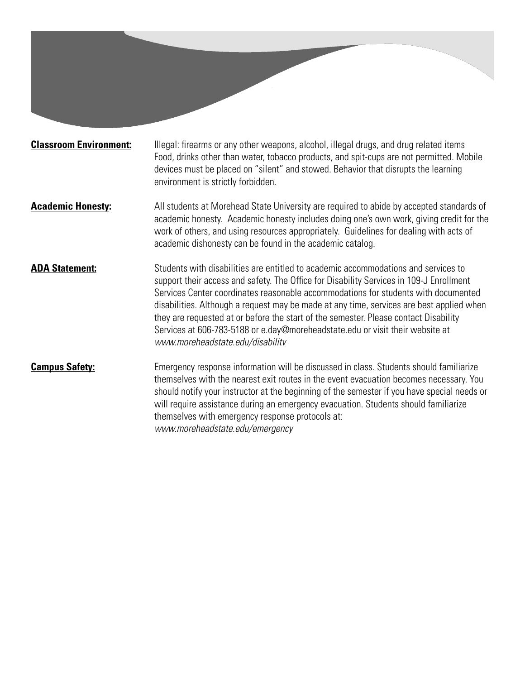**Classroom Environment:** Illegal: firearms or any other weapons, alcohol, illegal drugs, and drug related items Food, drinks other than water, tobacco products, and spit-cups are not permitted. Mobile devices must be placed on "silent" and stowed. Behavior that disrupts the learning environment is strictly forbidden.

- **Academic Honesty:** All students at Morehead State University are required to abide by accepted standards of academic honesty. Academic honesty includes doing one's own work, giving credit for the work of others, and using resources appropriately. Guidelines for dealing with acts of academic dishonesty can be found in the academic catalog.
- **ADA Statement:** Students with disabilities are entitled to academic accommodations and services to support their access and safety. The Office for Disability Services in 109-J Enrollment Services Center coordinates reasonable accommodations for students with documented disabilities. Although a request may be made at any time, services are best applied when they are requested at or before the start of the semester. Please contact Disability Services at 606-783-5188 or e.day@moreheadstate.edu or visit their website at *www.moreheadstate.edu/disabilitv*

### **Campus Safety:** Emergency response information will be discussed in class. Students should familiarize themselves with the nearest exit routes in the event evacuation becomes necessary. You should notify your instructor at the beginning of the semester if you have special needs or will require assistance during an emergency evacuation. Students should familiarize themselves with emergency response protocols at: *www.moreheadstate.edu/emergency*